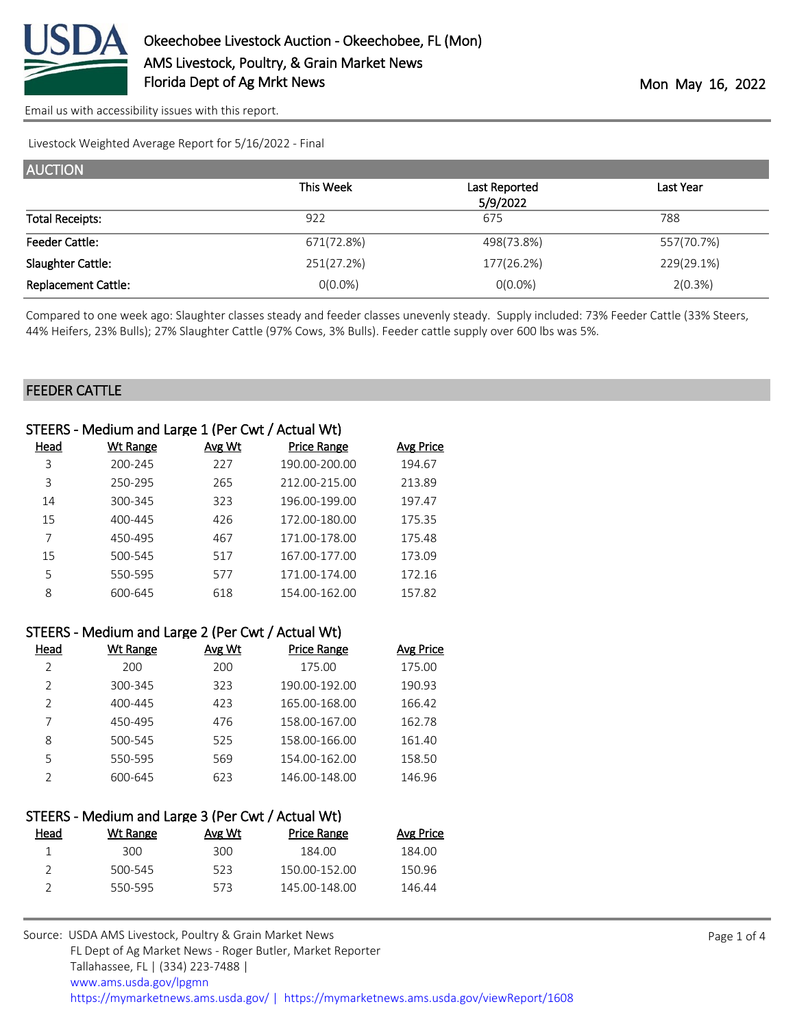

Livestock Weighted Average Report for 5/16/2022 - Final

| <b>AUCTION</b>             |            |               |            |  |  |
|----------------------------|------------|---------------|------------|--|--|
|                            | This Week  | Last Reported | Last Year  |  |  |
|                            |            | 5/9/2022      |            |  |  |
| <b>Total Receipts:</b>     | 922        | 675           | 788        |  |  |
| <b>Feeder Cattle:</b>      | 671(72.8%) | 498(73.8%)    | 557(70.7%) |  |  |
| Slaughter Cattle:          | 251(27.2%) | 177(26.2%)    | 229(29.1%) |  |  |
| <b>Replacement Cattle:</b> | $0(0.0\%)$ | $O(0.0\%)$    | 2(0.3%)    |  |  |

Compared to one week ago: Slaughter classes steady and feeder classes unevenly steady. Supply included: 73% Feeder Cattle (33% Steers, 44% Heifers, 23% Bulls); 27% Slaughter Cattle (97% Cows, 3% Bulls). Feeder cattle supply over 600 lbs was 5%.

**Avg Price** 

#### FEEDER CATTLE

| STEERS - Medium and Large 1 (Per Cwt / Actual Wt) |                 |        |                    |                  |
|---------------------------------------------------|-----------------|--------|--------------------|------------------|
| Head                                              | <b>Wt Range</b> | Avg Wt | <b>Price Range</b> | <b>Avg Price</b> |
| 3                                                 | 200-245         | 227    | 190.00-200.00      | 194.67           |
| 3                                                 | 250-295         | 265    | 212.00-215.00      | 213.89           |
| 14                                                | 300-345         | 323    | 196.00-199.00      | 197.47           |
| 15                                                | 400-445         | 426    | 172.00-180.00      | 175.35           |
|                                                   | 450-495         | 467    | 171.00-178.00      | 175.48           |
| 15                                                | 500-545         | 517    | 167.00-177.00      | 173.09           |
| 5                                                 | 550-595         | 577    | 171.00-174.00      | 172.16           |
| 8                                                 | 600-645         | 618    | 154.00-162.00      | 157.82           |

| STEERS - Medium and Large 2 (Per Cwt / Actual Wt) |  |  |
|---------------------------------------------------|--|--|
|---------------------------------------------------|--|--|

| Head          | Wt Range | Avg Wt | <b>Price Range</b> | <b>Avg Price</b> |
|---------------|----------|--------|--------------------|------------------|
| 2             | 200      | 200    | 175.00             | 175.00           |
| $\mathcal{P}$ | 300-345  | 323    | 190.00-192.00      | 190.93           |
| $\mathcal{P}$ | 400-445  | 423    | 165.00-168.00      | 166.42           |
|               | 450-495  | 476    | 158.00-167.00      | 162.78           |
| 8             | 500-545  | 525    | 158.00-166.00      | 161.40           |
| 5             | 550-595  | 569    | 154.00-162.00      | 158.50           |
|               | 600-645  | 623    | 146.00-148.00      | 146.96           |

|      | STEERS - Medium and Large 3 (Per Cwt / Actual Wt) |               |                    |  |
|------|---------------------------------------------------|---------------|--------------------|--|
| Head | Wt Range                                          | <u>Avg Wt</u> | <b>Price Range</b> |  |

| 300     | 300  | 184.00        | 184.00 |
|---------|------|---------------|--------|
| 500-545 | 523. | 150.00-152.00 | 150.96 |
| 550-595 | 573. | 145.00-148.00 | 146.44 |
|         |      |               |        |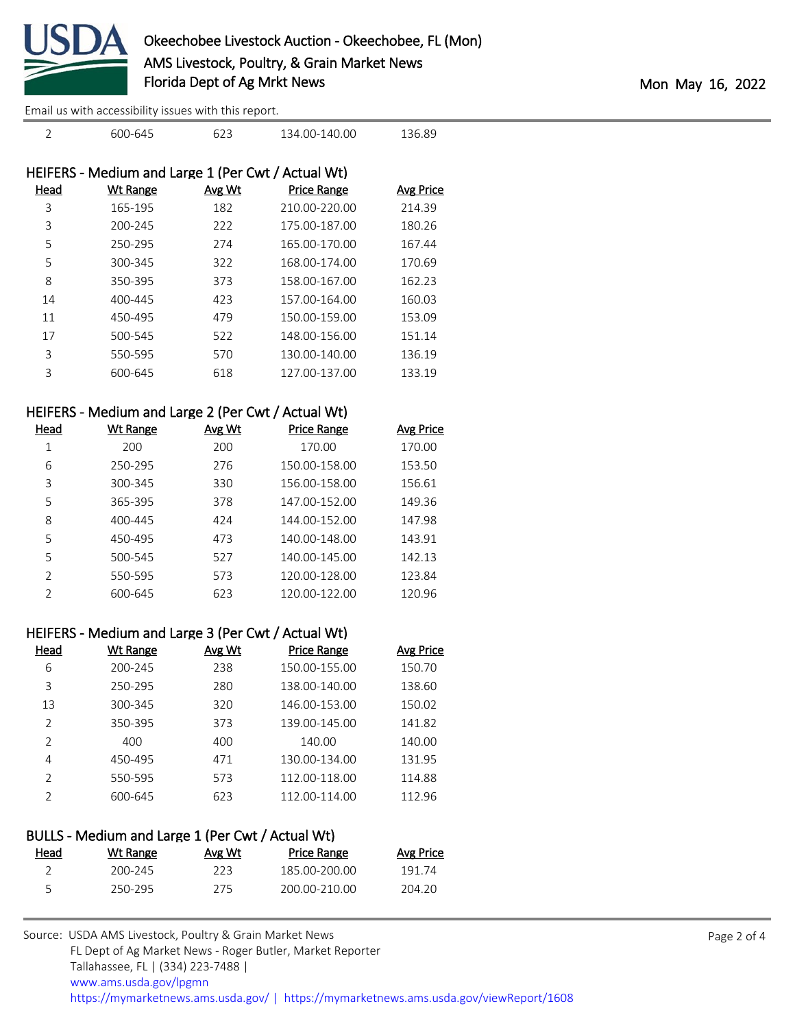

| $\overline{2}$ | 600-645                                            | 623    | 134.00-140.00      | 136.89    |
|----------------|----------------------------------------------------|--------|--------------------|-----------|
|                | HEIFERS - Medium and Large 1 (Per Cwt / Actual Wt) |        |                    |           |
| Head           | Wt Range                                           | Avg Wt | <b>Price Range</b> | Avg Price |
| 3              | 165-195                                            | 182    | 210.00-220.00      | 214.39    |
| 3              | 200-245                                            | 222    | 175.00-187.00      | 180.26    |
| 5              | 250-295                                            | 274    | 165.00-170.00      | 167.44    |
| 5              | 300-345                                            | 322    | 168.00-174.00      | 170.69    |
| 8              | 350-395                                            | 373    | 158.00-167.00      | 162.23    |
| 14             | 400-445                                            | 423    | 157.00-164.00      | 160.03    |
| 11             | 450-495                                            | 479    | 150.00-159.00      | 153.09    |
| 17             | 500-545                                            | 522    | 148.00-156.00      | 151.14    |
| 3              | 550-595                                            | 570    | 130.00-140.00      | 136.19    |
| 3              | 600-645                                            | 618    | 127.00-137.00      | 133.19    |
|                |                                                    |        |                    |           |

### HEIFERS - Medium and Large 2 (Per Cwt / Actual Wt)

| Head          | Wt Range | Avg Wt | <b>Price Range</b> | Avg Price |
|---------------|----------|--------|--------------------|-----------|
| 1             | 200      | 200    | 170.00             | 170.00    |
| 6             | 250-295  | 276    | 150.00-158.00      | 153.50    |
| 3             | 300-345  | 330    | 156.00-158.00      | 156.61    |
| 5             | 365-395  | 378    | 147.00-152.00      | 149.36    |
| 8             | 400-445  | 424    | 144.00-152.00      | 147.98    |
| 5             | 450-495  | 473    | 140.00-148.00      | 143.91    |
| 5             | 500-545  | 527    | 140.00-145.00      | 142.13    |
| $\mathcal{P}$ | 550-595  | 573    | 120.00-128.00      | 123.84    |
| $\mathcal{P}$ | 600-645  | 623    | 120.00-122.00      | 120.96    |

## HEIFERS - Medium and Large 3 (Per Cwt / Actual Wt)

| Head          | Wt Range | Avg Wt | <b>Price Range</b> | <b>Avg Price</b> |
|---------------|----------|--------|--------------------|------------------|
| 6             | 200-245  | 238    | 150.00-155.00      | 150.70           |
| 3             | 250-295  | 280    | 138.00-140.00      | 138.60           |
| 13            | 300-345  | 320    | 146.00-153.00      | 150.02           |
| $\mathcal{P}$ | 350-395  | 373    | 139.00-145.00      | 141.82           |
| $\mathcal{P}$ | 400      | 400    | 140.00             | 140.00           |
| 4             | 450-495  | 471    | 130.00-134.00      | 131.95           |
| $\mathcal{P}$ | 550-595  | 573    | 112.00-118.00      | 114.88           |
| っ             | 600-645  | 623    | 112.00-114.00      | 112.96           |
|               |          |        |                    |                  |

## BULLS - Medium and Large 1 (Per Cwt / Actual Wt)

| <u>Head</u> | Wt Range | Avg Wt | Price Range   | <b>Avg Price</b> |
|-------------|----------|--------|---------------|------------------|
|             | 200-245  | フフ3    | 185.00-200.00 | 191 74           |
|             | 250-295  | 275    | 200.00-210.00 | 204.20           |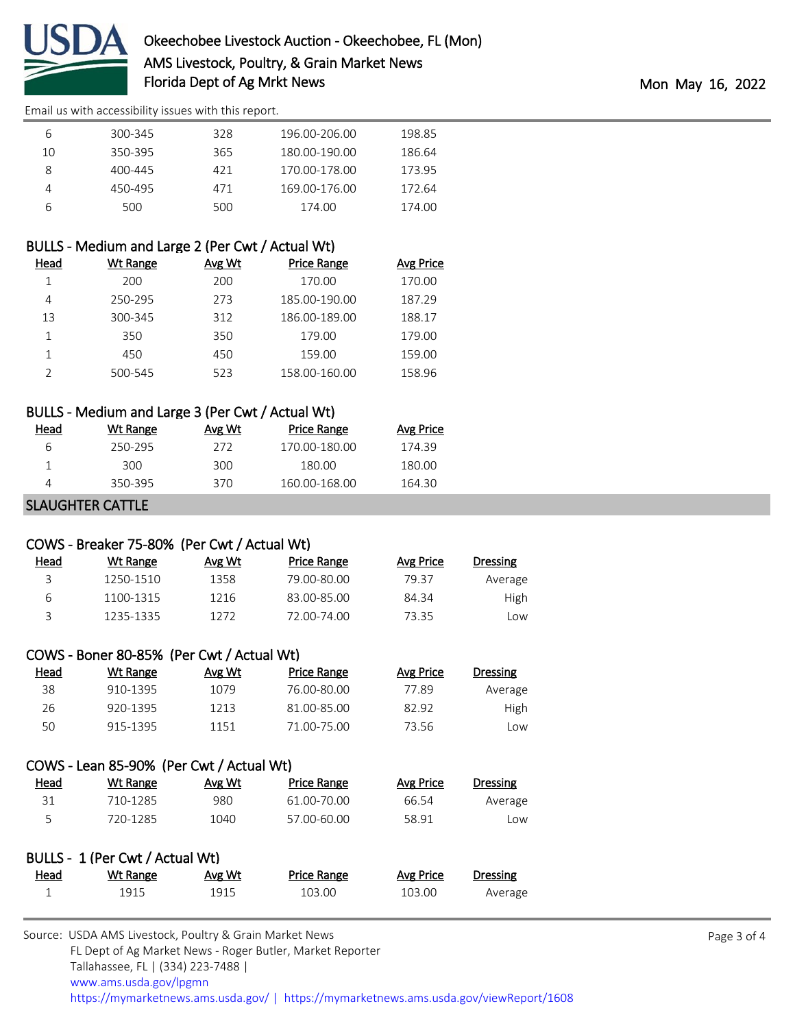

| b  | 300-345 | 328 | 196.00-206.00 | 198.85 |
|----|---------|-----|---------------|--------|
| 10 | 350-395 | 365 | 180.00-190.00 | 186.64 |
| 8  | 400-445 | 421 | 170.00-178.00 | 173.95 |
| 4  | 450-495 | 471 | 169.00-176.00 | 172.64 |
| b  | 500     | 500 | 174.00        | 174.00 |

## BULLS - Medium and Large 2 (Per Cwt / Actual Wt)

| Head | Wt Range | Avg Wt | <b>Price Range</b> | <b>Avg Price</b> |
|------|----------|--------|--------------------|------------------|
|      | 200      | 200    | 170.00             | 170.00           |
| 4    | 250-295  | 273    | 185.00-190.00      | 187.29           |
| 13   | 300-345  | 312    | 186.00-189.00      | 188.17           |
|      | 350      | 350    | 179.00             | 179.00           |
|      | 450      | 450    | 159.00             | 159.00           |
|      | 500-545  | 523    | 158.00-160.00      | 158.96           |

### BULLS - Medium and Large 3 (Per Cwt / Actual Wt)

| Head | Wt Range | Avg Wt | Price Range   | Avg Price |
|------|----------|--------|---------------|-----------|
| h    | 250-295  | 272    | 170 00-180 00 | 174.39    |
|      | 300.     | 300    | 180.00        | 180.00    |
|      | 350-395  | 370    | 160.00-168.00 | 164.30    |

#### SLAUGHTER CATTLE

#### COWS - Breaker 75-80% (Per Cwt / Actual Wt)

| <u>Head</u> | Wt Range  | Avg Wt | Price Range | Avg Price | Dressing |
|-------------|-----------|--------|-------------|-----------|----------|
|             | 1250-1510 | 1358   | 79.00-80.00 | 79.37     | Average  |
| h           | 1100-1315 | 1216   | 83.00-85.00 | 84.34     | High     |
|             | 1235-1335 | 1272   | 72.00-74.00 | 73.35     | _OW      |

## COWS - Boner 80-85% (Per Cwt / Actual Wt)

| Head | Wt Range | Avg Wt | Price Range | Avg Price | Dressing |
|------|----------|--------|-------------|-----------|----------|
| 38   | 910-1395 | 1079   | 76.00-80.00 | 77.89     | Average  |
| 26   | 920-1395 | 1213   | 81.00-85.00 | 82.92     | High     |
| 50   | 915-1395 | 1151   | 71.00-75.00 | 73.56     | Low      |

# COWS - Lean 85-90% (Per Cwt / Actual Wt)

| Dressing | Avg Price | Price Range | Avg Wt | Wt Range | <u>Head</u> |
|----------|-----------|-------------|--------|----------|-------------|
| Average  | 66.54     | 61.00-70.00 | 980    | 710-1285 | 31          |
| LOW      | 58.91     | 57.00-60.00 | 1040   | 720-1285 | ∽           |

|             | BULLS - 1 (Per Cwt / Actual Wt) |        |                    |           |          |
|-------------|---------------------------------|--------|--------------------|-----------|----------|
| <u>Head</u> | Wt Range                        | Avg Wt | <b>Price Range</b> | Avg Price | Dressing |
|             | 1915                            | 1915   | 103.00             | 103.00    | Average  |